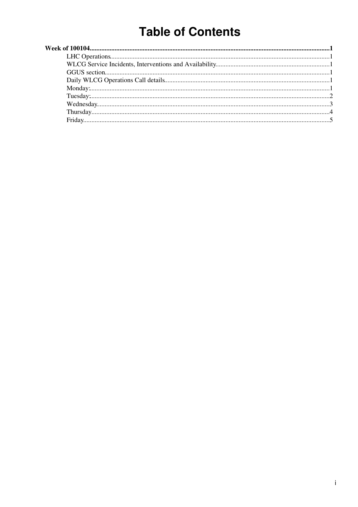# **Table of Contents**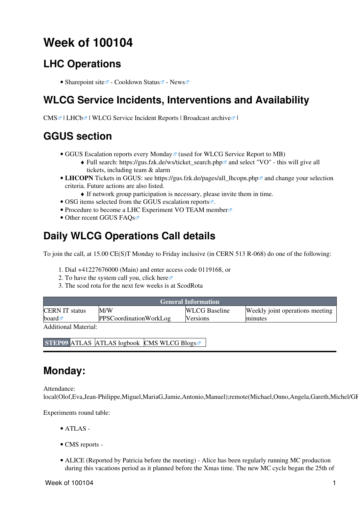## <span id="page-1-0"></span>**Week of 100104**

### <span id="page-1-1"></span>**LHC Operations**

• [Sharepoint site](https://espace.cern.ch/be-dep-op-lhc-machine-operation/default.aspx)  $\mathbb{Z}$  - [Cooldown Status](http://lhc.web.cern.ch/lhc/)  $\mathbb{Z}$  - [News](http://lhc.web.cern.ch/lhc/News.htm)  $\mathbb{Z}$ 

### <span id="page-1-2"></span>**WLCG Service Incidents, Interventions and Availability**

CMS<sup>Z</sup> | [LHCb](http://dashb-lhcb-sam.cern.ch/dashboard/request.py/historicalsiteavailability?mode=siteavl&siteSelect3=501&sites=LCG.CERN.ch&sites=LCG.CNAF.it&sites=LCG.GRIDKA.de&sites=LCG.IN2P3.fr&sites=LCG.NIKHEF.nl&sites=LCG.PIC.es&sites=LCG.RAL.uk&algoId=82&timeRange=lastWeek)<sup>Z</sup> | [WLCG Service Incident Reports](https://twiki.cern.ch/twiki/bin/view/LCG/WLCGServiceIncidents) | Broadcast archive<sup>z</sup> |

### <span id="page-1-3"></span>**GGUS section**

- GGUS Escalation reports every Monday<sup>®</sup> (used for WLCG Service Report to MB)
	- ◆ Full search: [https://gus.fzk.de/ws/ticket\\_search.php](https://gus.fzk.de/ws/ticket_search.php)<sup>™</sup> and select "VO" this will give all tickets, including team & alarm
- LHCOPN Tickets in GGUS: see https://gus.fzk.de/pages/all\_lhcopn.php<sup>a</sup> and change your selection criteria. Future actions are also listed.
	- ♦ If network group participation is necessary, please invite them in time.
- OSG items selected from the [GGUS escalation reports](https://gus.fzk.de/pages/metrics/download_escalation_reports_roc.php)  $\mathbb{F}$ .
- [Procedure to become a LHC Experiment VO TEAM member](https://gus.fzk.de/pages/ggus-docs/PDF/1541_FAQ_for_team_member_registration.pdf)
- Other recent [GGUS FAQs](https://gus.fzk.de/pages/faq.php)

### <span id="page-1-4"></span>**Daily WLCG Operations Call details**

To join the call, at 15.00 CE(S)T Monday to Friday inclusive (in CERN 513 R-068) do one of the following:

- 1. Dial +41227676000 (Main) and enter access code 0119168, or
- 2. To have the system call you, click [here](https://audioconf.cern.ch/call/0119168)
- 3. The scod rota for the next few weeks is at [ScodRota](https://twiki.cern.ch/twiki/bin/view/LCG/ScodRota)

| <b>General Information</b>                                  |                        |                      |                                 |  |
|-------------------------------------------------------------|------------------------|----------------------|---------------------------------|--|
| <b>CERN IT status</b>                                       | M/W                    | <b>WLCG</b> Baseline | Weekly joint operations meeting |  |
| board $\blacksquare$                                        | PPSCoordinationWorkLog | <b>Versions</b>      | minutes                         |  |
| $\lambda$ 11. $\lambda$ 1 $\lambda$ $\lambda$ $\lambda$ 1 1 |                        |                      |                                 |  |

Additional Material:

**STEP09** [ATLAS](https://twiki.cern.ch/twiki/bin/view/Atlas/Step09) [ATLAS logbook](https://twiki.cern.ch/twiki/bin/view/Atlas/Step09Logbook) [CMS](https://twiki.cern.ch/twiki/bin/view/CMS/Step09) [WLCG Blogs](http://cern.ch/planet-wlcg)<sup>®</sup>

#### <span id="page-1-5"></span>**Monday:**

Attendance: local(Olof,Eva,Jean-Philippe,Miguel,MariaG,Jamie,Antonio,Manuel);remote(Michael,Onno,Angela,Gareth,Michel/GI

Experiments round table:

- ATLAS -
- CMS [reports](https://twiki.cern.ch/twiki/bin/view/CMS/FacOps_WLCGdailyreports) -
- ALICE (Reported by Patricia before the meeting) Alice has been regularly running MC production during this vacations period as it planned before the Xmas time. The new MC cycle began the 25th of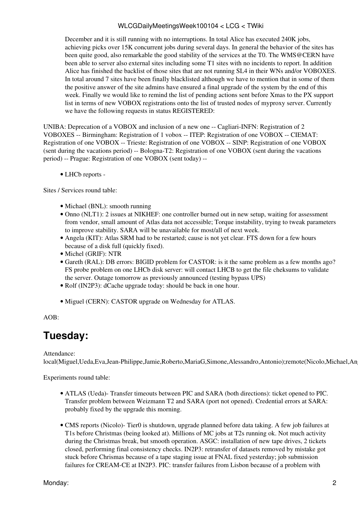December and it is still running with no interruptions. In total Alice has executed 240K jobs, achieving picks over 15K concurrent jobs during several days. In general the behavior of the sites has been quite good, also remarkable the good stability of the services at the T0. The [WMS@CERN](mailto:WMS@CERN) have been able to server also external sites including some T1 sites with no incidents to report. In addition Alice has finished the backlist of those sites that are not running SL4 in their WNs and/or VOBOXES. In total around 7 sites have been finally blacklisted although we have to mention that in some of them the positive answer of the site admins have ensured a final upgrade of the system by the end of this week. Finally we would like to remind the list of pending actions sent before Xmas to the PX support list in terms of new VOBOX registrations onto the list of trusted nodes of myproxy server. Currently we have the following requests in status REGISTERED:

UNIBA: Deprecation of a VOBOX and inclusion of a new one -- Cagliari-INFN: Registration of 2 VOBOXES -- Birmingham: Registration of 1 vobox -- ITEP: Registration of one VOBOX -- CIEMAT: Registration of one VOBOX -- Trieste: Registration of one VOBOX -- SINP: Registration of one VOBOX (sent during the vacations period) -- Bologna-T2: Registration of one VOBOX (sent during the vacations period) -- Prague: Registration of one VOBOX (sent today) --

• LHCb [reports](https://twiki.cern.ch/twiki/bin/view/LHCb/ProductionOperationsWLCGdailyReports) -

Sites / Services round table:

- Michael (BNL): smooth running
- Onno (NLT1): 2 issues at NIKHEF: one controller burned out in new setup, waiting for assessment from vendor, small amount of Atlas data not accessible; Torque instability, trying to tweak parameters to improve stability. SARA will be unavailable for most/all of next week.
- Angela (KIT): Atlas SRM had to be restarted; cause is not yet clear. FTS down for a few hours because of a disk full (quickly fixed).
- Michel (GRIF): NTR
- Gareth [\(RAL](https://twiki.cern.ch/twiki/bin/view/LCG/RAL)): DB errors: BIGID problem for CASTOR: is it the same problem as a few months ago? FS probe problem on one LHCb disk server: will contact LHCB to get the file cheksums to validate the server. Outage tomorrow as previously announced (testing bypass UPS)
- Rolf ([IN2P3\)](https://twiki.cern.ch/twiki/bin/view/LCG/IN2P3): dCache upgrade today: should be back in one hour.
- Miguel (CERN): CASTOR upgrade on Wednesday for ATLAS.

AOB:

#### <span id="page-2-0"></span>**Tuesday:**

#### Attendance:

local(Miguel,Ueda,Eva,Jean-Philippe,Jamie,Roberto,MariaG,Simone,Alessandro,Antonio);remote(Nicolo,Michael,An

Experiments round table:

- ATLAS (Ueda)- Transfer timeouts between PIC and SARA (both directions): ticket opened to PIC. Transfer problem between Weizmann T2 and SARA (port not opened). Credential errors at SARA: probably fixed by the upgrade this morning.
- CMS [reports](https://twiki.cern.ch/twiki/bin/view/CMS/FacOps_WLCGdailyreports) (Nicolo)- Tier0 is shutdown, upgrade planned before data taking. A few job failures at T1s before Christmas (being looked at). Millions of MC jobs at T2s running ok. Not much activity during the Christmas break, but smooth operation. ASGC: installation of new tape drives, 2 tickets closed, performing final consistency checks. [IN2P3:](https://twiki.cern.ch/twiki/bin/view/LCG/IN2P3) retransfer of datasets removed by mistake got stuck before Chrismas because of a tape staging issue at FNAL fixed yesterday; job submission failures for [CREAM](https://twiki.cern.ch/twiki/bin/view/LCG/CREAM)-CE at [IN2P3](https://twiki.cern.ch/twiki/bin/view/LCG/IN2P3). PIC: transfer failures from Lisbon because of a problem with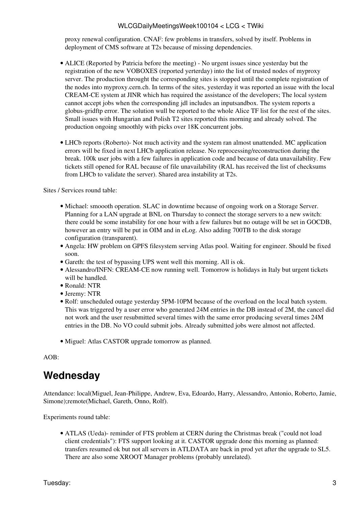proxy renewal configuration. CNAF: few problems in transfers, solved by itself. Problems in deployment of CMS software at T2s because of missing dependencies.

- ALICE (Reported by Patricia before the meeting) No urgent issues since yesterday but the registration of the new VOBOXES (reported yerterday) into the list of trusted nodes of myproxy server. The production throught the corresponding sites is stopped until the complete registration of the nodes into myproxy.cern.ch. In terms of the sites, yesterday it was reported an issue with the local [CREAM](https://twiki.cern.ch/twiki/bin/view/LCG/CREAM)-CE system at JINR which has required the assistance of the developers; The local system cannot accept jobs when the corresponding jdl includes an inputsandbox. The system reports a globus-gridftp error. The solution wull be reported to the whole Alice TF list for the rest of the sites. Small issues with Hungarian and Polish T2 sites reported this morning and already solved. The production ongoing smoothly with picks over 18K concurrent jobs.
- LHCb [reports](https://twiki.cern.ch/twiki/bin/view/LHCb/ProductionOperationsWLCGdailyReports) (Roberto)- Not much activity and the system ran almost unattended. MC application errors will be fixed in next LHCb application release. No reprocessing/reconstruction during the break. 100k user jobs with a few failures in application code and because of data unavailability. Few tickets still opened for [RAL](https://twiki.cern.ch/twiki/bin/view/LCG/RAL) because of file unavailability [\(RAL](https://twiki.cern.ch/twiki/bin/view/LCG/RAL) has received the list of checksums from LHCb to validate the server). Shared area instability at T2s.

Sites / Services round table:

- Michael: smoooth operation. SLAC in downtime because of ongoing work on a Storage Server. Planning for a LAN upgrade at BNL on Thursday to connect the storage servers to a new switch: there could be some instability for one hour with a few failures but no outage will be set in GOCDB, however an entry will be put in OIM and in eLog. Also adding 700TB to the disk storage configuration (transparent).
- Angela: HW problem on GPFS filesystem serving Atlas pool. Waiting for engineer. Should be fixed soon.
- Gareth: the test of bypassing UPS went well this morning. All is ok.
- Alessandro/INFN: [CREAM](https://twiki.cern.ch/twiki/bin/view/LCG/CREAM)-CE now running well. Tomorrow is holidays in Italy but urgent tickets will be handled.
- Ronald: NTR
- Jeremy: NTR
- Rolf: unscheduled outage yesterday 5PM-10PM because of the overload on the local batch system. This was triggered by a user error who generated 24M entries in the DB instead of 2M, the cancel did not work and the user resubmitted several times with the same error producing several times 24M entries in the DB. No VO could submit jobs. Already submitted jobs were almost not affected.
- Miguel: Atlas CASTOR upgrade tomorrow as planned.

 $AOB<sup>2</sup>$ 

### <span id="page-3-0"></span>**Wednesday**

Attendance: local(Miguel, Jean-Philippe, Andrew, Eva, Edoardo, Harry, Alessandro, Antonio, Roberto, Jamie, Simone);remote(Michael, Gareth, Onno, Rolf).

Experiments round table:

• ATLAS (Ueda)- reminder of FTS problem at CERN during the Christmas break ("could not load client credentials"): FTS support looking at it. CASTOR upgrade done this morning as planned: transfers resumed ok but not all servers in ATLDATA are back in prod yet after the upgrade to SL5. There are also some XROOT Manager problems (probably unrelated).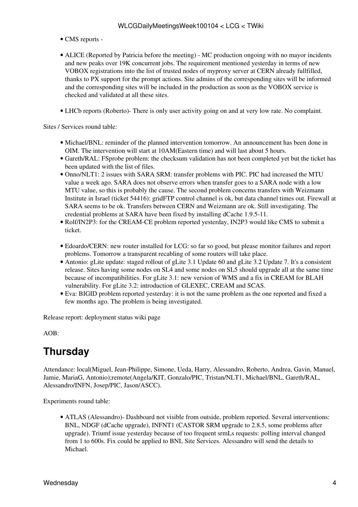- CMS [reports](https://twiki.cern.ch/twiki/bin/view/CMS/FacOps_WLCGdailyreports) -
- ALICE (Reported by Patricia before the meeting) MC production ongoing with no mayor incidents and new peaks over 19K concurrent jobs. The requirement mentioned yesterday in terms of new VOBOX registrations into the list of trusted nodes of myproxy server at CERN already fullfilled, thanks to PX support for the prompt actions. Site admins of the corresponding sites will be informed and the corresponding sites will be included in the production as soon as the VOBOX service is checked and validated at all these sites.
- LHCb [reports](https://twiki.cern.ch/twiki/bin/view/LHCb/ProductionOperationsWLCGdailyReports) (Roberto)- There is only user activity going on and at very low rate. No complaint.

Sites / Services round table:

- Michael/BNL: reminder of the planned intervention tomorrow. An announcement has been done in OIM. The intervention will start at 10AM(Eastern time) and will last about 5 hours.
- Gareth/RAL: FSprobe problem: the checksum validation has not been completed yet but the ticket has been updated with the list of files.
- Onno/NLT1: 2 issues with SARA SRM: transfer problems with PIC. PIC had increased the MTU value a week ago. SARA does not observe errors when transfer goes to a SARA node with a low MTU value, so this is probably the cause. The second problem concerns transfers with Weizmann Institute in Israel (ticket 54416): gridFTP control channel is ok, but data channel times out. Firewall at SARA seems to be ok. Transfers between CERN and Weizmann are ok. Still investigating. The credential problems at SARA have been fixed by installing dCache 1.9.5-11.
- Rolf/IN2P3: for the [CREAM](https://twiki.cern.ch/twiki/bin/view/LCG/CREAM)-CE problem reported yesterday, [IN2P3](https://twiki.cern.ch/twiki/bin/view/LCG/IN2P3) would like CMS to submit a ticket.
- Edoardo/CERN: new router installed for LCG: so far so good, but please monitor failures and report problems. Tomorrow a transparent recabling of some routers will take place.
- Antonio: gLite update: staged rollout of gLite 3.1 Update 60 and gLite 3.2 Update 7. It's a consistent release. Sites having some nodes on SL4 and some nodes on SL5 should upgrade all at the same time because of incompatibilities. For gLite 3.1: new version of WMS and a fix in [CREAM](https://twiki.cern.ch/twiki/bin/view/LCG/CREAM) for BLAH vulnerability. For gLite 3.2: introduction of GLEXEC, [CREAM](https://twiki.cern.ch/twiki/bin/view/LCG/CREAM) and SCAS.
- Eva: BIGID problem reported yesterday: it is not the same problem as the one reported and fixed a few months ago. The problem is being investigated.

Release report: [deployment status wiki page](https://twiki.cern.ch/twiki/bin/view/LCG/LcgScmStatus#Deployment_Status)

AOB:

### <span id="page-4-0"></span>**Thursday**

Attendance: local(Miguel, Jean-Philippe, Simone, Ueda, Harry, Alessandro, Roberto, Andrea, Gavin, Manuel, Jamie, [MariaG](https://twiki.cern.ch/twiki/bin/edit/LCG/MariaG?topicparent=LCG.WLCGDailyMeetingsWeek100104;nowysiwyg=1), Antonio);remote(Angela/KIT, Gonzalo/PIC, Tristan/NLT1, Michael/BNL, Gareth/RAL, Alessandro/INFN, Josep/PIC, Jason/ASCC).

Experiments round table:

ATLAS (Alessandro)- Dashboard not visible from outside, problem reported. Several interventions: • BNL, NDGF (dCache upgrade), INFNT1 (CASTOR SRM upgrade to 2.8.5, some problems after upgrade). Triumf issue yesterday because of too frequent srmLs requests: polling interval changed from 1 to 600s. Fix could be applied to BNL Site Services. Alessandro will send the details to Michael.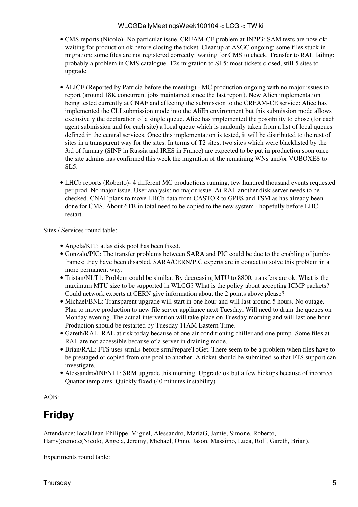- CMS [reports](https://twiki.cern.ch/twiki/bin/view/CMS/FacOps_WLCGdailyreports) (Nicolo)- No particular issue. [CREAM-](https://twiki.cern.ch/twiki/bin/view/LCG/CREAM)CE problem at [IN2P3:](https://twiki.cern.ch/twiki/bin/view/LCG/IN2P3) SAM tests are now ok; waiting for production ok before closing the ticket. Cleanup at ASGC ongoing; some files stuck in migration; some files are not registered correctly: waiting for CMS to check. Transfer to [RAL](https://twiki.cern.ch/twiki/bin/view/LCG/RAL) failing: probably a problem in CMS catalogue. T2s migration to SL5: most tickets closed, still 5 sites to upgrade.
- ALICE (Reported by Patricia before the meeting) MC production ongoing with no major issues to report (around 18K concurrent jobs maintained since the last report). New Alien implementation being tested currently at CNAF and affecting the submission to the [CREAM](https://twiki.cern.ch/twiki/bin/view/LCG/CREAM)-CE service: Alice has implemented the CLI submission mode into the [AliEn](https://twiki.cern.ch/twiki/bin/edit/LCG/AliEn?topicparent=LCG.WLCGDailyMeetingsWeek100104;nowysiwyg=1) environment but this submission mode allows exclusively the declaration of a single queue. Alice has implemented the possibility to chose (for each agent submission and for each site) a local queue which is randomly taken from a list of local queues defined in the central services. Once this implementation is tested, it will be distributed to the rest of sites in a transparent way for the sites. In terms of T2 sites, two sites which were blacklisted by the 3rd of January (SINP in Russia and IRES in France) are expected to be put in production soon once the site admins has confirmed this week the migration of the remaining WNs and/or VOBOXES to SL5.
- LHCb [reports](https://twiki.cern.ch/twiki/bin/view/LHCb/ProductionOperationsWLCGdailyReports) (Roberto)- 4 different MC productions running, few hundred thousand events requested per prod. No major issue. User analysis: no major issue. At [RAL](https://twiki.cern.ch/twiki/bin/view/LCG/RAL) another disk server needs to be checked. CNAF plans to move LHCb data from CASTOR to GPFS and TSM as has already been done for CMS. About 6TB in total need to be copied to the new system - hopefully before LHC restart.

Sites / Services round table:

- Angela/KIT: atlas disk pool has been fixed.
- Gonzalo/PIC: The transfer problems between SARA and PIC could be due to the enabling of jumbo frames; they have been disabled. SARA/CERN/PIC experts are in contact to solve this problem in a more permanent way.
- Tristan/NLT1: Problem could be similar. By decreasing MTU to 8800, transfers are ok. What is the maximum MTU size to be supported in WLCG? What is the policy about accepting ICMP packets? Could network experts at CERN give information about the 2 points above please?
- Michael/BNL: Transparent upgrade will start in one hour and will last around 5 hours. No outage. Plan to move production to new file server appliance next Tuesday. Will need to drain the queues on Monday evening. The actual intervention will take place on Tuesday morning and will last one hour. Production should be restarted by Tuesday 11AM Eastern Time.
- Gareth/RAL: [RAL](https://twiki.cern.ch/twiki/bin/view/LCG/RAL) at risk today because of one air conditioning chiller and one pump. Some files at [RAL](https://twiki.cern.ch/twiki/bin/view/LCG/RAL) are not accessible because of a server in draining mode.
- Brian/RAL: FTS uses srmLs before srmPrepareToGet. There seem to be a problem when files have to be prestaged or copied from one pool to another. A ticket should be submitted so that FTS support can investigate.
- Alessandro/INFNT1: SRM upgrade this morning. Upgrade ok but a few hickups because of incorrect Quattor templates. Quickly fixed (40 minutes instability).

AOB:

## <span id="page-5-0"></span>**Friday**

Attendance: local(Jean-Philippe, Miguel, Alessandro, [MariaG,](https://twiki.cern.ch/twiki/bin/edit/LCG/MariaG?topicparent=LCG.WLCGDailyMeetingsWeek100104;nowysiwyg=1) Jamie, Simone, Roberto, Harry);remote(Nicolo, Angela, Jeremy, Michael, Onno, Jason, Massimo, Luca, Rolf, Gareth, Brian).

Experiments round table: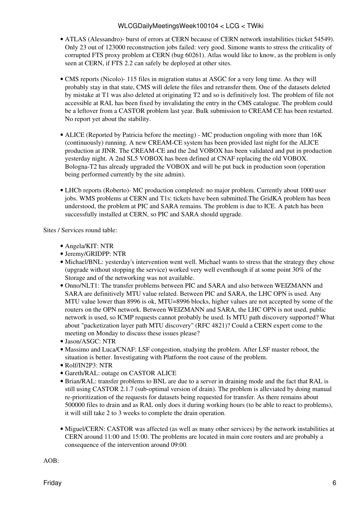- ATLAS (Alessandro)- burst of errors at CERN because of CERN network instabilities (ticket 54549). Only 23 out of 123000 reconstruction jobs failed: very good. Simone wants to stress the criticality of corrupted FTS proxy problem at CERN (bug 60261). Atlas would like to know, as the problem is only seen at CERN, if FTS 2.2 can safely be deployed at other sites.
- CMS [reports](https://twiki.cern.ch/twiki/bin/view/CMS/FacOps_WLCGdailyreports) (Nicolo)- 115 files in migration status at ASGC for a very long time. As they will probably stay in that state, CMS will delete the files and retransfer them. One of the datasets deleted by mistake at T1 was also deleted at originating T2 and so is definitively lost. The problem of file not accessible at [RAL](https://twiki.cern.ch/twiki/bin/view/LCG/RAL) has been fixed by invalidating the entry in the CMS catalogue. The problem could be a leftover from a CASTOR problem last year. Bulk submission to [CREAM](https://twiki.cern.ch/twiki/bin/view/LCG/CREAM) CE has been restarted. No report yet about the stability.
- ALICE (Reported by Patricia before the meeting) MC production ongoling with more than 16K (continuously) running. A new [CREAM-](https://twiki.cern.ch/twiki/bin/view/LCG/CREAM)CE system has been provided last night for the ALICE production at JINR. The [CREAM-](https://twiki.cern.ch/twiki/bin/view/LCG/CREAM)CE and the 2nd VOBOX has been validated and put in production yesterday night. A 2nd SL5 VOBOX has been defined at CNAF replacing the old VOBOX. Bologna-T2 has already upgraded the VOBOX and will be put back in production soon (operation being performed currently by the site admin).
- LHCb [reports](https://twiki.cern.ch/twiki/bin/view/LHCb/ProductionOperationsWLCGdailyReports) (Roberto)- MC production completed: no major problem. Currently about 1000 user jobs. WMS problems at CERN and T1s: tickets have been submitted.The [GridKA](https://twiki.cern.ch/twiki/bin/edit/LCG/GridKA?topicparent=LCG.WLCGDailyMeetingsWeek100104;nowysiwyg=1) problem has been understood, the problem at PIC and SARA remains. The problem is due to ICE. A patch has been successfully installed at CERN, so PIC and SARA should upgrade.

Sites / Services round table:

- Angela/KIT: NTR
- Jeremy/GRIDPP: NTR
- Michael/BNL: yesterday's intervention went well. Michael wants to stress that the strategy they chose (upgrade without stopping the service) worked very well eventhough if at some point 30% of the Storage and of the networking was not available.
- Onno/NLT1: The transfer problems between PIC and SARA and also between WEIZMANN and SARA are definitively MTU value related. Between PIC and SARA, the LHC OPN is used. Any MTU value lower than 8996 is ok, MTU=8996 blocks, higher values are not accepted by some of the routers on the OPN network. Between WEIZMANN and SARA, the LHC OPN is not used, public network is used, so ICMP requests cannot probably be used. Is MTU path discovery supported? What about "packetization layer path MTU discovery" (RFC 4821)? Could a CERN expert come to the meeting on Monday to discuss these issues please?
- Jason/ASGC: NTR
- Massimo and Luca/CNAF: [LSF](https://twiki.cern.ch/twiki/bin/view/LCG/LSF) congestion, studying the problem. After LSF master reboot, the situation is better. Investigating with Platform the root cause of the problem.
- Rolf/IN2P3: NTR
- Gareth/RAL: outage on CASTOR ALICE
- Brian/RAL: transfer problems to BNL are due to a server in draining mode and the fact that [RAL](https://twiki.cern.ch/twiki/bin/view/LCG/RAL) is still using CASTOR 2.1.7 (sub-optimal version of drain). The problem is alleviated by doing manual re-prioritization of the requests for datasets being requested for transfer. As there remains about 500000 files to drain and as [RAL](https://twiki.cern.ch/twiki/bin/view/LCG/RAL) only does it during working hours (to be able to react to problems), it will still take 2 to 3 weeks to complete the drain operation.
- Miguel/CERN: CASTOR was affected (as well as many other services) by the network instabilities at CERN around 11:00 and 15:00. The problems are located in main core routers and are probably a consequence of the intervention around 09:00.

AOB: